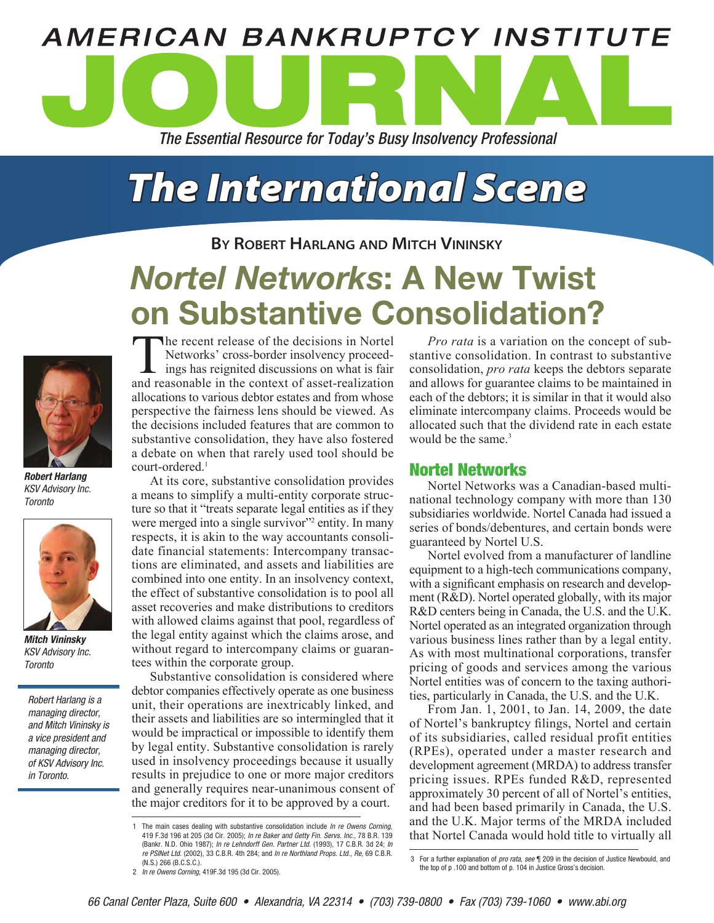# **AMERICAN BANKRUPTCY INSTITUTE** *The Essential Resource for Today's Busy Insolvency Professional*

## *The International Scene*

#### **By Robert Harlang and Mitch Vininsky**

### *Nortel Networks*: A New Twist on Substantive Consolidation?



*Robert Harlang* KSV Advisory Inc. **Toronto** 



*Mitch Vininsky* KSV Advisory Inc. **Toronto** 

Robert Harlang is a managing director, and Mitch Vininsky is a vice president and managing director, of KSV Advisory Inc. in Toronto.

The recent release of the decisions in Nortel Networks' cross-border insolvency proceedings has reignited discussions on what is fair and reasonable in the context of asset-realization allocations to various debtor estates and from whose perspective the fairness lens should be viewed. As the decisions included features that are common to substantive consolidation, they have also fostered a debate on when that rarely used tool should be court-ordered.<sup>1</sup>

At its core, substantive consolidation provides a means to simplify a multi-entity corporate structure so that it "treats separate legal entities as if they were merged into a single survivor" entity. In many respects, it is akin to the way accountants consolidate financial statements: Intercompany transactions are eliminated, and assets and liabilities are combined into one entity. In an insolvency context, the effect of substantive consolidation is to pool all asset recoveries and make distributions to creditors with allowed claims against that pool, regardless of the legal entity against which the claims arose, and without regard to intercompany claims or guarantees within the corporate group.

Substantive consolidation is considered where debtor companies effectively operate as one business unit, their operations are inextricably linked, and their assets and liabilities are so intermingled that it would be impractical or impossible to identify them by legal entity. Substantive consolidation is rarely used in insolvency proceedings because it usually results in prejudice to one or more major creditors and generally requires near-unanimous consent of the major creditors for it to be approved by a court.

2 In re Owens Corning, 419F.3d 195 (3d Cir. 2005).

*Pro rata* is a variation on the concept of substantive consolidation. In contrast to substantive consolidation, *pro rata* keeps the debtors separate and allows for guarantee claims to be maintained in each of the debtors; it is similar in that it would also eliminate intercompany claims. Proceeds would be allocated such that the dividend rate in each estate would be the same  $3$ 

#### Nortel Networks

Nortel Networks was a Canadian-based multinational technology company with more than 130 subsidiaries worldwide. Nortel Canada had issued a series of bonds/debentures, and certain bonds were guaranteed by Nortel U.S.

Nortel evolved from a manufacturer of landline equipment to a high-tech communications company, with a significant emphasis on research and development (R&D). Nortel operated globally, with its major R&D centers being in Canada, the U.S. and the U.K. Nortel operated as an integrated organization through various business lines rather than by a legal entity. As with most multinational corporations, transfer pricing of goods and services among the various Nortel entities was of concern to the taxing authorities, particularly in Canada, the U.S. and the U.K.

From Jan. 1, 2001, to Jan. 14, 2009, the date of Nortel's bankruptcy filings, Nortel and certain of its subsidiaries, called residual profit entities (RPEs), operated under a master research and development agreement (MRDA) to address transfer pricing issues. RPEs funded R&D, represented approximately 30 percent of all of Nortel's entities, and had been based primarily in Canada, the U.S. and the U.K. Major terms of the MRDA included that Nortel Canada would hold title to virtually all

<sup>1</sup> The main cases dealing with substantive consolidation include *In re Owens Corning* 419 F.3d 196 at 205 (3d Cir. 2005); In re Baker and Getty Fin. Servs. Inc., 78 B.R. 139 (Bankr. N.D. Ohio 1987); In re Lehndorff Gen. Partner Ltd. (1993), 17 C.B.R. 3d 24; In re PSINet Ltd. (2002), 33 C.B.R. 4th 284; and In re Northland Props. Ltd., Re, 69 C.B.R. (N.S.) 266 (B.C.S.C.).

<sup>3</sup> For a further explanation of pro rata, see | 209 in the decision of Justice Newbould, and the top of p .100 and bottom of p. 104 in Justice Gross's decision.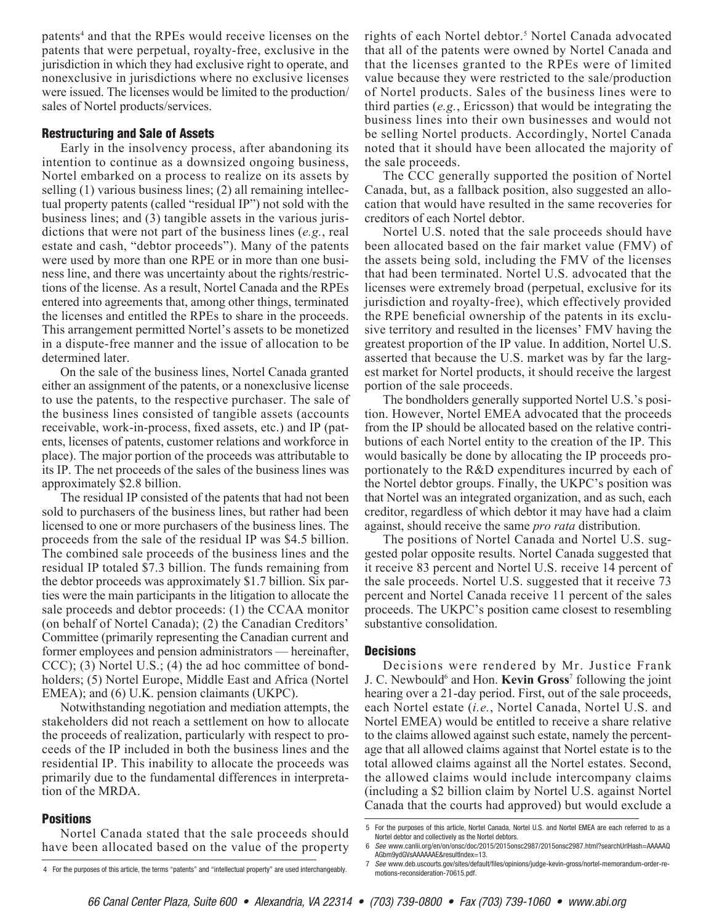patents<sup>4</sup> and that the RPEs would receive licenses on the patents that were perpetual, royalty-free, exclusive in the jurisdiction in which they had exclusive right to operate, and nonexclusive in jurisdictions where no exclusive licenses were issued. The licenses would be limited to the production/ sales of Nortel products/services.

#### Restructuring and Sale of Assets

Early in the insolvency process, after abandoning its intention to continue as a downsized ongoing business, Nortel embarked on a process to realize on its assets by selling (1) various business lines; (2) all remaining intellectual property patents (called "residual IP") not sold with the business lines; and (3) tangible assets in the various jurisdictions that were not part of the business lines (*e.g.*, real estate and cash, "debtor proceeds"). Many of the patents were used by more than one RPE or in more than one business line, and there was uncertainty about the rights/restrictions of the license. As a result, Nortel Canada and the RPEs entered into agreements that, among other things, terminated the licenses and entitled the RPEs to share in the proceeds. This arrangement permitted Nortel's assets to be monetized in a dispute-free manner and the issue of allocation to be determined later.

On the sale of the business lines, Nortel Canada granted either an assignment of the patents, or a nonexclusive license to use the patents, to the respective purchaser. The sale of the business lines consisted of tangible assets (accounts receivable, work-in-process, fixed assets, etc.) and IP (patents, licenses of patents, customer relations and workforce in place). The major portion of the proceeds was attributable to its IP. The net proceeds of the sales of the business lines was approximately \$2.8 billion.

The residual IP consisted of the patents that had not been sold to purchasers of the business lines, but rather had been licensed to one or more purchasers of the business lines. The proceeds from the sale of the residual IP was \$4.5 billion. The combined sale proceeds of the business lines and the residual IP totaled \$7.3 billion. The funds remaining from the debtor proceeds was approximately \$1.7 billion. Six parties were the main participants in the litigation to allocate the sale proceeds and debtor proceeds: (1) the CCAA monitor (on behalf of Nortel Canada); (2) the Canadian Creditors' Committee (primarily representing the Canadian current and former employees and pension administrators — hereinafter, CCC); (3) Nortel U.S.; (4) the ad hoc committee of bondholders; (5) Nortel Europe, Middle East and Africa (Nortel EMEA); and (6) U.K. pension claimants (UKPC).

Notwithstanding negotiation and mediation attempts, the stakeholders did not reach a settlement on how to allocate the proceeds of realization, particularly with respect to proceeds of the IP included in both the business lines and the residential IP. This inability to allocate the proceeds was primarily due to the fundamental differences in interpretation of the MRDA.

#### **Positions**

Nortel Canada stated that the sale proceeds should have been allocated based on the value of the property

rights of each Nortel debtor.<sup>5</sup> Nortel Canada advocated that all of the patents were owned by Nortel Canada and that the licenses granted to the RPEs were of limited value because they were restricted to the sale/production of Nortel products. Sales of the business lines were to third parties (*e.g.*, Ericsson) that would be integrating the business lines into their own businesses and would not be selling Nortel products. Accordingly, Nortel Canada noted that it should have been allocated the majority of the sale proceeds.

The CCC generally supported the position of Nortel Canada, but, as a fallback position, also suggested an allocation that would have resulted in the same recoveries for creditors of each Nortel debtor.

Nortel U.S. noted that the sale proceeds should have been allocated based on the fair market value (FMV) of the assets being sold, including the FMV of the licenses that had been terminated. Nortel U.S. advocated that the licenses were extremely broad (perpetual, exclusive for its jurisdiction and royalty-free), which effectively provided the RPE beneficial ownership of the patents in its exclusive territory and resulted in the licenses' FMV having the greatest proportion of the IP value. In addition, Nortel U.S. asserted that because the U.S. market was by far the largest market for Nortel products, it should receive the largest portion of the sale proceeds.

The bondholders generally supported Nortel U.S.'s position. However, Nortel EMEA advocated that the proceeds from the IP should be allocated based on the relative contributions of each Nortel entity to the creation of the IP. This would basically be done by allocating the IP proceeds proportionately to the R&D expenditures incurred by each of the Nortel debtor groups. Finally, the UKPC's position was that Nortel was an integrated organization, and as such, each creditor, regardless of which debtor it may have had a claim against, should receive the same *pro rata* distribution.

The positions of Nortel Canada and Nortel U.S. suggested polar opposite results. Nortel Canada suggested that it receive 83 percent and Nortel U.S. receive 14 percent of the sale proceeds. Nortel U.S. suggested that it receive 73 percent and Nortel Canada receive 11 percent of the sales proceeds. The UKPC's position came closest to resembling substantive consolidation.

#### **Decisions**

Decisions were rendered by Mr. Justice Frank J. C. Newbould<sup>6</sup> and Hon. **Kevin Gross**<sup>7</sup> following the joint hearing over a 21-day period. First, out of the sale proceeds, each Nortel estate (*i.e.*, Nortel Canada, Nortel U.S. and Nortel EMEA) would be entitled to receive a share relative to the claims allowed against such estate, namely the percentage that all allowed claims against that Nortel estate is to the total allowed claims against all the Nortel estates. Second, the allowed claims would include intercompany claims (including a \$2 billion claim by Nortel U.S. against Nortel Canada that the courts had approved) but would exclude a

motions-reconsideration-70615.pdf.

<sup>4</sup> For the purposes of this article, the terms "patents" and "intellectual property" are used interchangeably.

<sup>5</sup> For the purposes of this article, Nortel Canada, Nortel U.S. and Nortel EMEA are each referred to as a Nortel debtor and collectively as the Nortel debtors.

<sup>6</sup> *See* www.canlii.org/en/on/onsc/doc/2015/2015onsc2987/2015onsc2987.html?searchUrlHash=AAAAAQ AGbm9ydGVsAAAAAAE&resultIndex=13. 7 *See* www.deb.uscourts.gov/sites/default/files/opinions/judge-kevin-gross/nortel-memorandum-order-re-